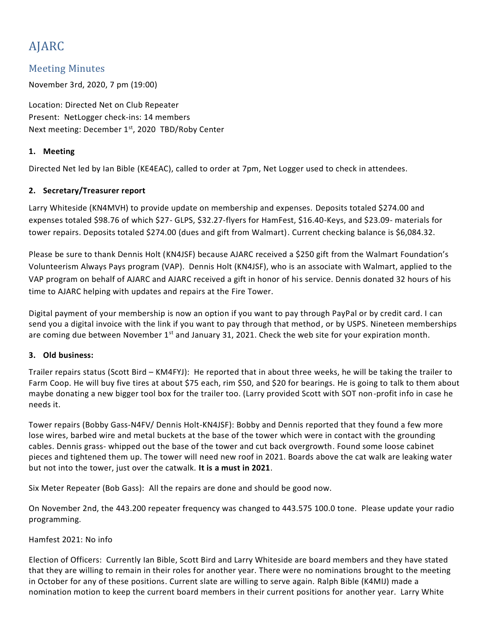# AJARC

# Meeting Minutes

November 3rd, 2020, 7 pm (19:00)

Location: Directed Net on Club Repeater Present: NetLogger check-ins: 14 members Next meeting: December 1st, 2020 TBD/Roby Center

# **1. Meeting**

Directed Net led by Ian Bible (KE4EAC), called to order at 7pm, Net Logger used to check in attendees.

# **2. Secretary/Treasurer report**

Larry Whiteside (KN4MVH) to provide update on membership and expenses. Deposits totaled \$274.00 and expenses totaled \$98.76 of which \$27- GLPS, \$32.27-flyers for HamFest, \$16.40-Keys, and \$23.09- materials for tower repairs. Deposits totaled \$274.00 (dues and gift from Walmart). Current checking balance is \$6,084.32.

Please be sure to thank Dennis Holt (KN4JSF) because AJARC received a \$250 gift from the Walmart Foundation's Volunteerism Always Pays program (VAP). Dennis Holt (KN4JSF), who is an associate with Walmart, applied to the VAP program on behalf of AJARC and AJARC received a gift in honor of his service. Dennis donated 32 hours of his time to AJARC helping with updates and repairs at the Fire Tower.

Digital payment of your membership is now an option if you want to pay through PayPal or by credit card. I can send you a digital invoice with the link if you want to pay through that method, or by USPS. Nineteen memberships are coming due between November 1<sup>st</sup> and January 31, 2021. Check the web site for your expiration month.

### **3. Old business:**

Trailer repairs status (Scott Bird – KM4FYJ): He reported that in about three weeks, he will be taking the trailer to Farm Coop. He will buy five tires at about \$75 each, rim \$50, and \$20 for bearings. He is going to talk to them about maybe donating a new bigger tool box for the trailer too. (Larry provided Scott with SOT non-profit info in case he needs it.

Tower repairs (Bobby Gass-N4FV/ Dennis Holt-KN4JSF): Bobby and Dennis reported that they found a few more lose wires, barbed wire and metal buckets at the base of the tower which were in contact with the grounding cables. Dennis grass- whipped out the base of the tower and cut back overgrowth. Found some loose cabinet pieces and tightened them up. The tower will need new roof in 2021. Boards above the cat walk are leaking water but not into the tower, just over the catwalk. **It is a must in 2021**.

Six Meter Repeater (Bob Gass): All the repairs are done and should be good now.

On November 2nd, the 443.200 repeater frequency was changed to 443.575 100.0 tone. Please update your radio programming.

### Hamfest 2021: No info

Election of Officers: Currently Ian Bible, Scott Bird and Larry Whiteside are board members and they have stated that they are willing to remain in their roles for another year. There were no nominations brought to the meeting in October for any of these positions. Current slate are willing to serve again. Ralph Bible (K4MIJ) made a nomination motion to keep the current board members in their current positions for another year. Larry White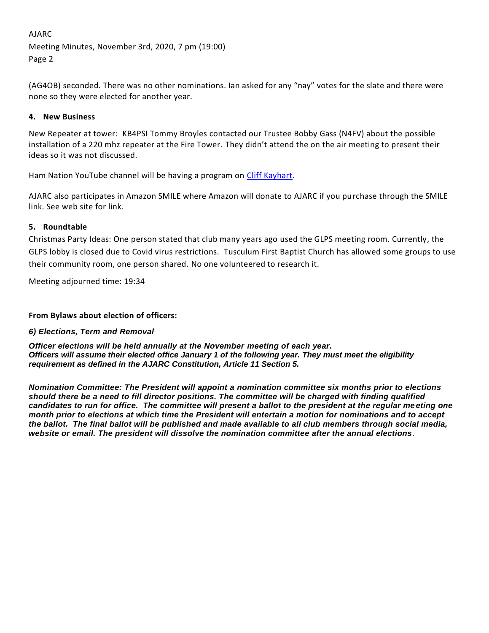# AJARC Meeting Minutes, November 3rd, 2020, 7 pm (19:00) Page 2

(AG4OB) seconded. There was no other nominations. Ian asked for any "nay" votes for the slate and there were none so they were elected for another year.

# **4. New Business**

New Repeater at tower: KB4PSI Tommy Broyles contacted our Trustee Bobby Gass (N4FV) about the possible installation of a 220 mhz repeater at the Fire Tower. They didn't attend the on the air meeting to present their ideas so it was not discussed.

Ham Nation YouTube channel will be having a program on [Cliff Kayhart.](https://twit.tv/shows/ham-nation/episodes/478?autostart=false)

AJARC also participates in Amazon SMILE where Amazon will donate to AJARC if you purchase through the SMILE link. See web site for link.

# **5. Roundtable**

Christmas Party Ideas: One person stated that club many years ago used the GLPS meeting room. Currently, the GLPS lobby is closed due to Covid virus restrictions. Tusculum First Baptist Church has allowed some groups to use their community room, one person shared. No one volunteered to research it.

Meeting adjourned time: 19:34

### **From Bylaws about election of officers:**

### *6) Elections, Term and Removal*

*Officer elections will be held annually at the November meeting of each year. Officers will assume their elected office January 1 of the following year. They must meet the eligibility requirement as defined in the AJARC Constitution, Article 11 Section 5.*

*Nomination Committee: The President will appoint a nomination committee six months prior to elections should there be a need to fill director positions. The committee will be charged with finding qualified candidates to run for office. The committee will present a ballot to the president at the regular meeting one month prior to elections at which time the President will entertain a motion for nominations and to accept the ballot. The final ballot will be published and made available to all club members through social media, website or email. The president will dissolve the nomination committee after the annual elections.*